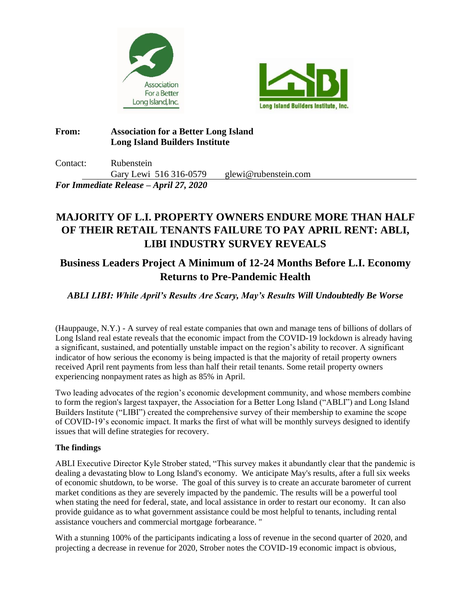



### **From: Association for a Better Long Island Long Island Builders Institute**

Contact: Rubenstein Gary Lewi 516 316-0579 glewi@rubenstein.com *For Immediate Release – April 27, 2020*

# **MAJORITY OF L.I. PROPERTY OWNERS ENDURE MORE THAN HALF OF THEIR RETAIL TENANTS FAILURE TO PAY APRIL RENT: ABLI, LIBI INDUSTRY SURVEY REVEALS**

# **Business Leaders Project A Minimum of 12-24 Months Before L.I. Economy Returns to Pre-Pandemic Health**

## *ABLI LIBI: While April's Results Are Scary, May's Results Will Undoubtedly Be Worse*

(Hauppauge, N.Y.) - A survey of real estate companies that own and manage tens of billions of dollars of Long Island real estate reveals that the economic impact from the COVID-19 lockdown is already having a significant, sustained, and potentially unstable impact on the region's ability to recover. A significant indicator of how serious the economy is being impacted is that the majority of retail property owners received April rent payments from less than half their retail tenants. Some retail property owners experiencing nonpayment rates as high as 85% in April.

Two leading advocates of the region's economic development community, and whose members combine to form the region's largest taxpayer, the Association for a Better Long Island ("ABLI") and Long Island Builders Institute ("LIBI") created the comprehensive survey of their membership to examine the scope of COVID-19's economic impact. It marks the first of what will be monthly surveys designed to identify issues that will define strategies for recovery.

### **The findings**

ABLI Executive Director Kyle Strober stated, "This survey makes it abundantly clear that the pandemic is dealing a devastating blow to Long Island's economy. We anticipate May's results, after a full six weeks of economic shutdown, to be worse. The goal of this survey is to create an accurate barometer of current market conditions as they are severely impacted by the pandemic. The results will be a powerful tool when stating the need for federal, state, and local assistance in order to restart our economy. It can also provide guidance as to what government assistance could be most helpful to tenants, including rental assistance vouchers and commercial mortgage forbearance. "

With a stunning 100% of the participants indicating a loss of revenue in the second quarter of 2020, and projecting a decrease in revenue for 2020, Strober notes the COVID-19 economic impact is obvious,